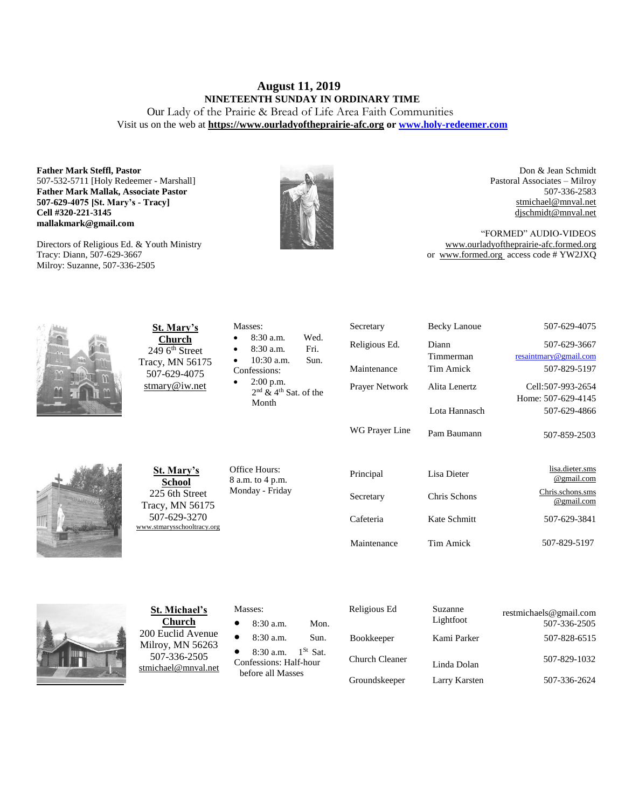# **August 11, 2019 NINETEENTH SUNDAY IN ORDINARY TIME**

Our Lady of the Prairie & Bread of Life Area Faith Communities Visit us on the web at **https:/[/www.ourladyoftheprairie-afc.org](http://www.ourladyoftheprairie-afc.org/) o[r www.holy-redeemer.com](http://www.holy-redeemer.com/)**

**Father Mark Steffl, Pastor** 507-532-5711 [Holy Redeemer - Marshall] **Father Mark Mallak, Associate Pastor 507-629-4075 [St. Mary's - Tracy] Cell #320-221-3145 mallakmark@gmail.com**

Directors of Religious Ed. & Youth Ministry Tracy: Diann, 507-629-3667 Milroy: Suzanne, 507-336-2505



Don & Jean Schmidt Pastoral Associates – Milroy 507-336-2583 [stmichael@mnval.net](mailto:stmichael@means.net) [djschmidt@mnval.net](mailto:djschmidt@mnval.net)

"FORMED" AUDIO-VIDEOS [www.ourladyoftheprairie-afc.formed.org](http://www.ourladyoftheprairie-afc.formed.org/) or www.formed.org access code # YW2JXQ



**St. Mary's Church** 249 6<sup>th</sup> Street Tracy, MN 56175 507-629-4075 [stmary@iw.net](mailto:stmary@iw.net)

| St. Mary's     |  |
|----------------|--|
| School         |  |
| 225 6th Street |  |

Tracy, MN 56175 507-629-3270 [www.stmarysschooltracy.org](http://www.stmarysschooltracy.org/) Office Hours: 8 a.m. to 4 p.m. Monday - Friday

Masses:

Confessions: 2:00 p.m.

Month

 8:30 a.m. Wed. 8:30 a.m. Fri. 10:30 a.m. Sun.

2<sup>nd</sup> & 4<sup>th</sup> Sat. of the

| Religious Ed.  | Diann<br>Timmerman | 507-629-3667<br>resaintmary@gmail.com |
|----------------|--------------------|---------------------------------------|
| Maintenance    | Tim Amick          | 507-829-5197                          |
| Prayer Network | Alita Lenertz      | Cell:507-993-2654                     |
|                | Lota Hannasch      | Home: 507-629-4145<br>507-629-4866    |
| WG Prayer Line | Pam Baumann        | 507-859-2503                          |
| Principal      | Lisa Dieter        | lisa.dieter.sms<br>@gmail.com         |
| Secretary      | Chris Schons       | Chris.schons.sms<br>@gmail.com        |
| Cafeteria      | Kate Schmitt       | 507-629-3841                          |
|                |                    |                                       |

Secretary Becky Lanoue 507-629-4075



**St. Michael's Church** 200 Euclid Avenue Milroy, MN 56263 507-336-2505 [stmichael@mnval.net](mailto:stmichael@mnval.net)

#### Masses:

8:30 a.m. Mon.

8:30 a.m. Sun.

• 8:30 a.m.  $1^{St}$  Sat. Confessions: Half-hour before all Masses

 Religious Ed Suzanne Lightfoot restmichaels@gmail.com 507-336-2505 Bookkeeper Kami Parker 507-828-6515 Church Cleaner Linda Dolan 507-829-1032 Groundskeeper Larry Karsten 507-336-2624

Maintenance Tim Amick 507-829-5197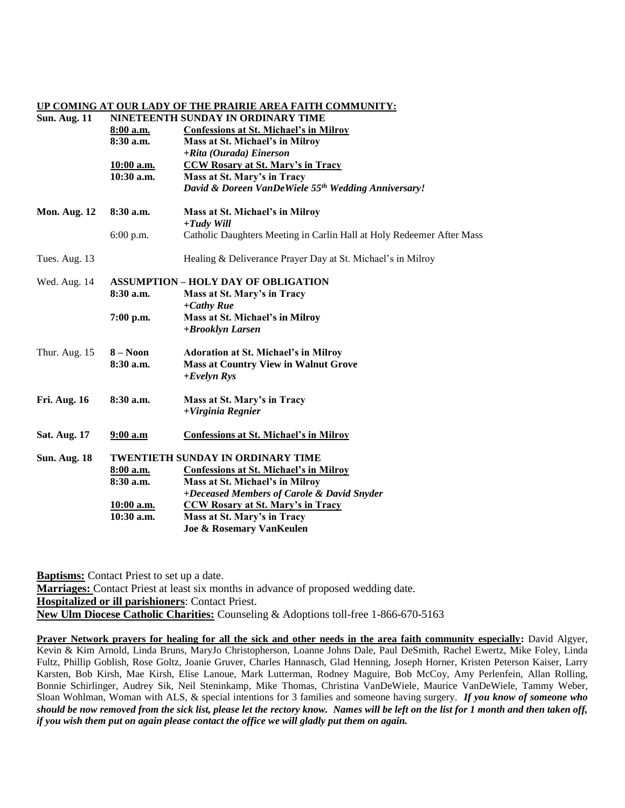#### **UP COMING AT OUR LADY OF THE PRAIRIE AREA FAITH COMMUNITY:**

## **Sun. Aug. 11 NINETEENTH SUNDAY IN ORDINARY TIME**

|                     | 8:00 a.m.<br>$8:30$ a.m.<br>10:00 a.m.<br>10:30 a.m. | <b>Confessions at St. Michael's in Milroy</b><br>Mass at St. Michael's in Milroy<br>+Rita (Ourada) Einerson<br><b>CCW Rosary at St. Mary's in Tracy</b><br>Mass at St. Mary's in Tracy<br>David & Doreen VanDeWiele 55th Wedding Anniversary!                                                |
|---------------------|------------------------------------------------------|----------------------------------------------------------------------------------------------------------------------------------------------------------------------------------------------------------------------------------------------------------------------------------------------|
| <b>Mon. Aug. 12</b> | $8:30$ a.m.                                          | Mass at St. Michael's in Milroy<br>$+ T u dy$ Will                                                                                                                                                                                                                                           |
|                     | 6:00 p.m.                                            | Catholic Daughters Meeting in Carlin Hall at Holy Redeemer After Mass                                                                                                                                                                                                                        |
| Tues. Aug. 13       |                                                      | Healing & Deliverance Prayer Day at St. Michael's in Milroy                                                                                                                                                                                                                                  |
| Wed. Aug. 14        | $8:30$ a.m.<br>$7:00$ p.m.                           | <b>ASSUMPTION - HOLY DAY OF OBLIGATION</b><br>Mass at St. Mary's in Tracy<br>$+Cathy$ Rue<br>Mass at St. Michael's in Milroy<br>+Brooklyn Larsen                                                                                                                                             |
| Thur. Aug. 15       | $8 - N00n$<br>8:30a.m.                               | <b>Adoration at St. Michael's in Milroy</b><br><b>Mass at Country View in Walnut Grove</b><br>$+Evelyn Rys$                                                                                                                                                                                  |
| <b>Fri. Aug. 16</b> | $8:30$ a.m.                                          | Mass at St. Mary's in Tracy<br>+Virginia Regnier                                                                                                                                                                                                                                             |
| <b>Sat. Aug. 17</b> | $9:00$ a.m                                           | <b>Confessions at St. Michael's in Milroy</b>                                                                                                                                                                                                                                                |
| <b>Sun. Aug. 18</b> | 8:00 a.m.<br>8:30 a.m.<br>10:00 a.m.<br>$10:30$ a.m. | <b>TWENTIETH SUNDAY IN ORDINARY TIME</b><br><b>Confessions at St. Michael's in Milroy</b><br>Mass at St. Michael's in Milroy<br>+Deceased Members of Carole & David Snyder<br><b>CCW Rosary at St. Mary's in Tracy</b><br>Mass at St. Mary's in Tracy<br><b>Joe &amp; Rosemary VanKeulen</b> |
|                     |                                                      |                                                                                                                                                                                                                                                                                              |

**Baptisms:** Contact Priest to set up a date.

**Marriages:** Contact Priest at least six months in advance of proposed wedding date. **Hospitalized or ill parishioners**: Contact Priest. **New Ulm Diocese Catholic Charities:** Counseling & Adoptions toll-free 1-866-670-5163

**Prayer Network prayers for healing for all the sick and other needs in the area faith community especially:** David Algyer, Kevin & Kim Arnold, Linda Bruns, MaryJo Christopherson, Loanne Johns Dale, Paul DeSmith, Rachel Ewertz, Mike Foley, Linda Fultz, Phillip Goblish, Rose Goltz, Joanie Gruver, Charles Hannasch, Glad Henning, Joseph Horner, Kristen Peterson Kaiser, Larry Karsten, Bob Kirsh, Mae Kirsh, Elise Lanoue, Mark Lutterman, Rodney Maguire, Bob McCoy, Amy Perlenfein, Allan Rolling, Bonnie Schirlinger, Audrey Sik, Neil Steninkamp, Mike Thomas, Christina VanDeWiele, Maurice VanDeWiele, Tammy Weber, Sloan Wohlman, Woman with ALS, & special intentions for 3 families and someone having surgery. *If you know of someone who should be now removed from the sick list, please let the rectory know. Names will be left on the list for 1 month and then taken off, if you wish them put on again please contact the office we will gladly put them on again.*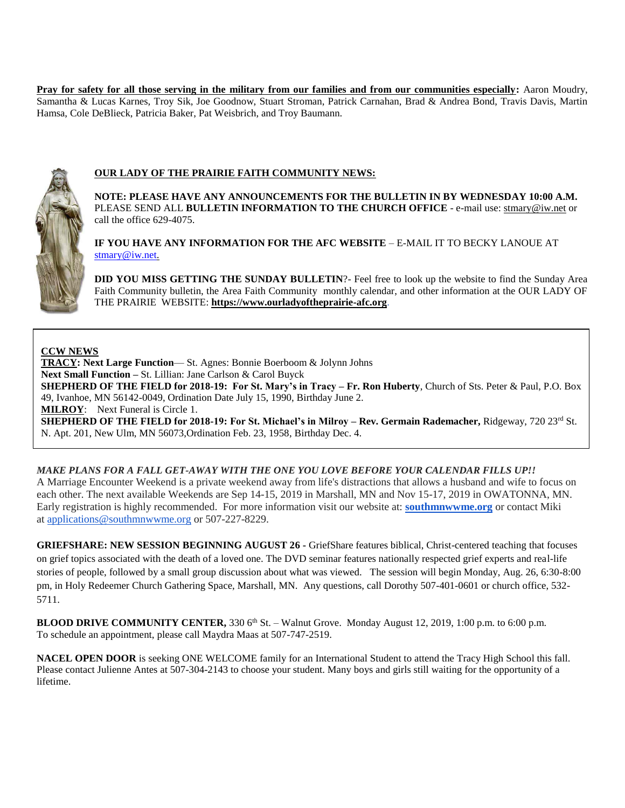Pray for safety for all those serving in the military from our families and from our communities especially: Aaron Moudry, Samantha & Lucas Karnes, Troy Sik, Joe Goodnow, Stuart Stroman, Patrick Carnahan, Brad & Andrea Bond, Travis Davis, Martin Hamsa, Cole DeBlieck, Patricia Baker, Pat Weisbrich, and Troy Baumann.



## **OUR LADY OF THE PRAIRIE FAITH COMMUNITY NEWS:**

**NOTE: PLEASE HAVE ANY ANNOUNCEMENTS FOR THE BULLETIN IN BY WEDNESDAY 10:00 A.M.** PLEASE SEND ALL **BULLETIN INFORMATION TO THE CHURCH OFFICE** - e-mail use[: stmary@iw.net](mailto:stmary@iw.net) or call the office 629-4075.

**IF YOU HAVE ANY INFORMATION FOR THE AFC WEBSITE** – E-MAIL IT TO BECKY LANOUE AT [stmary@iw.net.](mailto:stmary@iw.net)

**DID YOU MISS GETTING THE SUNDAY BULLETIN**?- Feel free to look up the website to find the Sunday Area Faith Community bulletin, the Area Faith Community monthly calendar, and other information at the OUR LADY OF THE PRAIRIE WEBSITE: **https:/[/www.ourladyoftheprairie-afc.org](http://www.ourladyoftheprairie-afc.org/)**.

## **CCW NEWS**

**TRACY: Next Large Function**— St. Agnes: Bonnie Boerboom & Jolynn Johns **Next Small Function –** St. Lillian: Jane Carlson & Carol Buyck **SHEPHERD OF THE FIELD for 2018-19: For St. Mary's in Tracy – Fr. Ron Huberty**, Church of Sts. Peter & Paul, P.O. Box 49, Ivanhoe, MN 56142-0049, Ordination Date July 15, 1990, Birthday June 2. **MILROY**: Next Funeral is Circle 1. **SHEPHERD OF THE FIELD for 2018-19: For St. Michael's in Milroy – Rev. Germain Rademacher,** Ridgeway, 720 23rd St. N. Apt. 201, New Ulm, MN 56073,Ordination Feb. 23, 1958, Birthday Dec. 4.

## **MAKE PLANS FOR A FALL GET-AWAY WITH THE ONE YOU LOVE BEFORE YOUR CALENDAR FILLS UP!!**

A Marriage Encounter Weekend is a private weekend away from life's distractions that allows a husband and wife to focus on each other. The next available Weekends are Sep 14-15, 2019 in Marshall, MN and Nov 15-17, 2019 in OWATONNA, MN. Early registration is highly recommended. For more information visit our website at: **[southmnwwme.org](http://southmnwwme.org/)** or contact Miki at [applications@southmnwwme.org](mailto:wmandbethnickles@hotmail.com) or 507-227-8229.

**GRIEFSHARE: NEW SESSION BEGINNING AUGUST 26 -** GriefShare features biblical, Christ-centered teaching that focuses on grief topics associated with the death of a loved one. The DVD seminar features nationally respected grief experts and real-life stories of people, followed by a small group discussion about what was viewed. The session will begin Monday, Aug. 26, 6:30-8:00 pm, in Holy Redeemer Church Gathering Space, Marshall, MN. Any questions, call Dorothy 507-401-0601 or church office, 532- 5711.

**BLOOD DRIVE COMMUNITY CENTER,** 330 6<sup>th</sup> St. – Walnut Grove. Monday August 12, 2019, 1:00 p.m. to 6:00 p.m. To schedule an appointment, please call Maydra Maas at 507-747-2519.

**NACEL OPEN DOOR** is seeking ONE WELCOME family for an International Student to attend the Tracy High School this fall. Please contact Julienne Antes at 507-304-2143 to choose your student. Many boys and girls still waiting for the opportunity of a lifetime.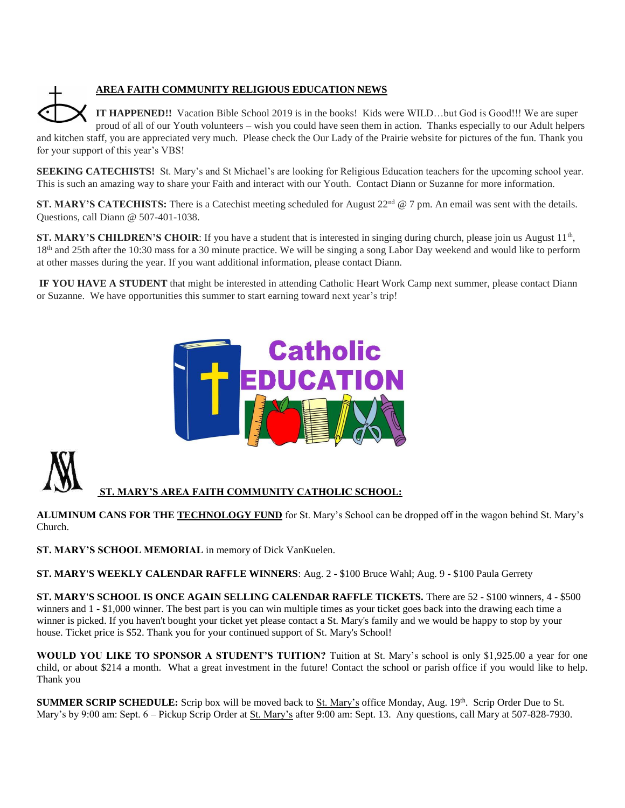

## **AREA FAITH COMMUNITY RELIGIOUS EDUCATION NEWS**

**IT HAPPENED!!** Vacation Bible School 2019 is in the books! Kids were WILD…but God is Good!!! We are super proud of all of our Youth volunteers – wish you could have seen them in action. Thanks especially to our Adult helpers and kitchen staff, you are appreciated very much. Please check the Our Lady of the Prairie website for pictures of the fun. Thank you for your support of this year's VBS!

**SEEKING CATECHISTS!** St. Mary's and St Michael's are looking for Religious Education teachers for the upcoming school year. This is such an amazing way to share your Faith and interact with our Youth. Contact Diann or Suzanne for more information.

**ST. MARY'S CATECHISTS:** There is a Catechist meeting scheduled for August 22<sup>nd</sup> @ 7 pm. An email was sent with the details. Questions, call Diann @ 507-401-1038.

**ST. MARY'S CHILDREN'S CHOIR**: If you have a student that is interested in singing during church, please join us August 11<sup>th</sup>, 18<sup>th</sup> and 25th after the 10:30 mass for a 30 minute practice. We will be singing a song Labor Day weekend and would like to perform at other masses during the year. If you want additional information, please contact Diann.

**IF YOU HAVE A STUDENT** that might be interested in attending Catholic Heart Work Camp next summer, please contact Diann or Suzanne. We have opportunities this summer to start earning toward next year's trip!





## **ST. MARY'S AREA FAITH COMMUNITY CATHOLIC SCHOOL:**

**ALUMINUM CANS FOR THE TECHNOLOGY FUND** for St. Mary's School can be dropped off in the wagon behind St. Mary's Church.

**ST. MARY'S SCHOOL MEMORIAL** in memory of Dick VanKuelen.

**ST. MARY'S WEEKLY CALENDAR RAFFLE WINNERS**: Aug. 2 - \$100 Bruce Wahl; Aug. 9 - \$100 Paula Gerrety

**ST. MARY'S SCHOOL IS ONCE AGAIN SELLING CALENDAR RAFFLE TICKETS.** There are 52 - \$100 winners, 4 - \$500 winners and 1 - \$1,000 winner. The best part is you can win multiple times as your ticket goes back into the drawing each time a winner is picked. If you haven't bought your ticket yet please contact a St. Mary's family and we would be happy to stop by your house. Ticket price is \$52. Thank you for your continued support of St. Mary's School!

**WOULD YOU LIKE TO SPONSOR A STUDENT'S TUITION?** Tuition at St. Mary's school is only \$1,925.00 a year for one child, or about \$214 a month. What a great investment in the future! Contact the school or parish office if you would like to help. Thank you

**SUMMER SCRIP SCHEDULE:** Scrip box will be moved back to St. Mary's office Monday, Aug. 19<sup>th</sup>. Scrip Order Due to St. Mary's by 9:00 am: Sept. 6 – Pickup Scrip Order at St. Mary's after 9:00 am: Sept. 13. Any questions, call Mary at 507-828-7930.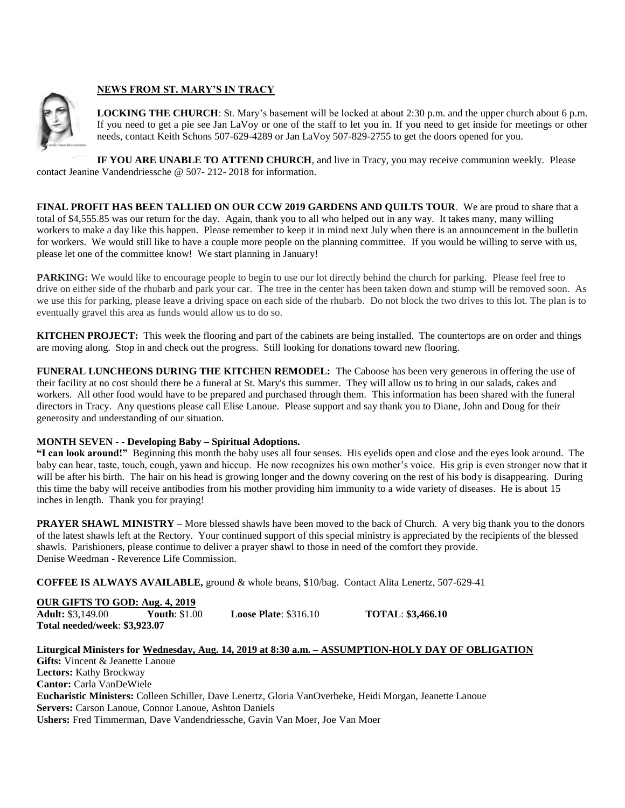

## **NEWS FROM ST. MARY'S IN TRACY**

**LOCKING THE CHURCH**: St. Mary's basement will be locked at about 2:30 p.m. and the upper church about 6 p.m. If you need to get a pie see Jan LaVoy or one of the staff to let you in. If you need to get inside for meetings or other needs, contact Keith Schons 507-629-4289 or Jan LaVoy 507-829-2755 to get the doors opened for you.

**IF YOU ARE UNABLE TO ATTEND CHURCH**, and live in Tracy, you may receive communion weekly. Please contact Jeanine Vandendriessche @ 507- 212- 2018 for information.

**FINAL PROFIT HAS BEEN TALLIED ON OUR CCW 2019 GARDENS AND QUILTS TOUR**. We are proud to share that a total of \$4,555.85 was our return for the day. Again, thank you to all who helped out in any way. It takes many, many willing workers to make a day like this happen. Please remember to keep it in mind next July when there is an announcement in the bulletin for workers. We would still like to have a couple more people on the planning committee. If you would be willing to serve with us, please let one of the committee know! We start planning in January!

**PARKING:** We would like to encourage people to begin to use our lot directly behind the church for parking. Please feel free to drive on either side of the rhubarb and park your car. The tree in the center has been taken down and stump will be removed soon. As we use this for parking, please leave a driving space on each side of the rhubarb. Do not block the two drives to this lot. The plan is to eventually gravel this area as funds would allow us to do so.

**KITCHEN PROJECT:** This week the flooring and part of the cabinets are being installed. The countertops are on order and things are moving along. Stop in and check out the progress. Still looking for donations toward new flooring.

**FUNERAL LUNCHEONS DURING THE KITCHEN REMODEL:** The Caboose has been very generous in offering the use of their facility at no cost should there be a funeral at St. Mary's this summer. They will allow us to bring in our salads, cakes and workers. All other food would have to be prepared and purchased through them. This information has been shared with the funeral directors in Tracy. Any questions please call Elise Lanoue. Please support and say thank you to Diane, John and Doug for their generosity and understanding of our situation.

## **MONTH SEVEN** - - **Developing Baby – Spiritual Adoptions.**

**"I can look around!"** Beginning this month the baby uses all four senses. His eyelids open and close and the eyes look around. The baby can hear, taste, touch, cough, yawn and hiccup. He now recognizes his own mother's voice. His grip is even stronger now that it will be after his birth. The hair on his head is growing longer and the downy covering on the rest of his body is disappearing. During this time the baby will receive antibodies from his mother providing him immunity to a wide variety of diseases. He is about 15 inches in length. Thank you for praying!

**PRAYER SHAWL MINISTRY** – More blessed shawls have been moved to the back of Church. A very big thank you to the donors of the latest shawls left at the Rectory. Your continued support of this special ministry is appreciated by the recipients of the blessed shawls. Parishioners, please continue to deliver a prayer shawl to those in need of the comfort they provide. Denise Weedman - Reverence Life Commission.

**COFFEE IS ALWAYS AVAILABLE,** ground & whole beans, \$10/bag. Contact Alita Lenertz, 507-629-41

## **OUR GIFTS TO GOD: Aug. 4, 2019**

**Total needed/week**: **\$3,923.07**

**Adult:** \$3,149.00 **Youth**: \$1.00 **Loose Plate**: \$316.10 **TOTAL**: **\$3,466.10**

#### **Liturgical Ministers for Wednesday, Aug. 14, 2019 at 8:30 a.m. – ASSUMPTION-HOLY DAY OF OBLIGATION Gifts:** Vincent & Jeanette Lanoue **Lectors:** Kathy Brockway **Cantor:** Carla VanDeWiele **Eucharistic Ministers:** Colleen Schiller, Dave Lenertz, Gloria VanOverbeke, Heidi Morgan, Jeanette Lanoue **Servers:** Carson Lanoue, Connor Lanoue, Ashton Daniels **Ushers:** Fred Timmerman, Dave Vandendriessche, Gavin Van Moer, Joe Van Moer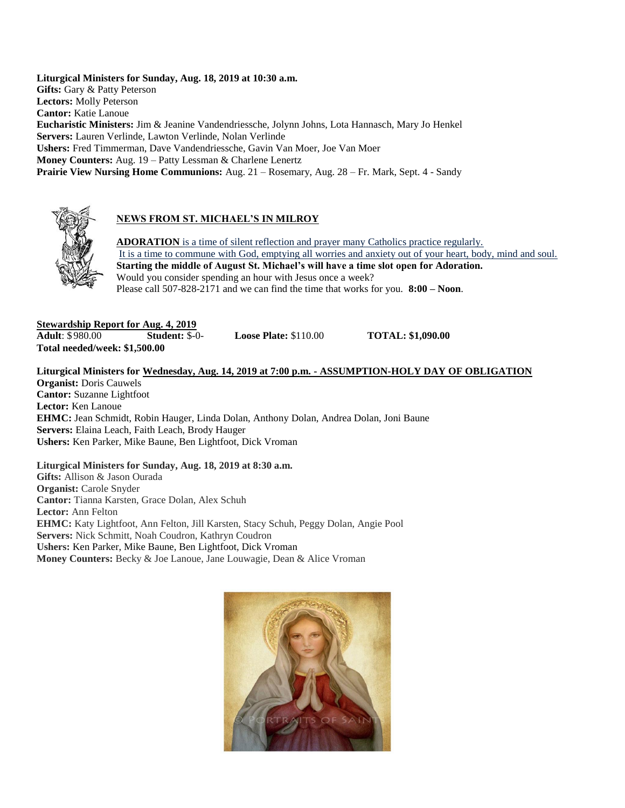**Liturgical Ministers for Sunday, Aug. 18, 2019 at 10:30 a.m. Gifts:** Gary & Patty Peterson **Lectors:** Molly Peterson **Cantor:** Katie Lanoue **Eucharistic Ministers:** Jim & Jeanine Vandendriessche, Jolynn Johns, Lota Hannasch, Mary Jo Henkel **Servers:** Lauren Verlinde, Lawton Verlinde, Nolan Verlinde **Ushers:** Fred Timmerman, Dave Vandendriessche, Gavin Van Moer, Joe Van Moer **Money Counters:** Aug. 19 – Patty Lessman & Charlene Lenertz **Prairie View Nursing Home Communions:** Aug. 21 – Rosemary, Aug. 28 – Fr. Mark, Sept. 4 - Sandy



## **NEWS FROM ST. MICHAEL'S IN MILROY**

**ADORATION** is a time of silent reflection and prayer many Catholics practice regularly. It is a time to commune with God, emptying all worries and anxiety out of your heart, body, mind and soul. **Starting the middle of August St. Michael's will have a time slot open for Adoration.** Would you consider spending an hour with Jesus once a week? Please call 507-828-2171 and we can find the time that works for you. **8:00 – Noon**.

**Stewardship Report for Aug. 4, 2019**<br>**Adult:** \$980.00 **Student:** \$-0 **Adultion: \$ 980.000 <b>Student: \$ 980.00 Loose Plate: \$110.00 TOTAL: \$1,090.00 Total needed/week: \$1,500.00**

## **Liturgical Ministers for Wednesday, Aug. 14, 2019 at 7:00 p.m. - ASSUMPTION-HOLY DAY OF OBLIGATION Organist:** Doris Cauwels **Cantor:** Suzanne Lightfoot **Lector:** Ken Lanoue **EHMC:** Jean Schmidt, Robin Hauger, Linda Dolan, Anthony Dolan, Andrea Dolan, Joni Baune **Servers:** Elaina Leach, Faith Leach, Brody Hauger

**Ushers:** Ken Parker, Mike Baune, Ben Lightfoot, Dick Vroman

**Liturgical Ministers for Sunday, Aug. 18, 2019 at 8:30 a.m. Gifts:** Allison & Jason Ourada **Organist:** Carole Snyder **Cantor:** Tianna Karsten, Grace Dolan, Alex Schuh **Lector:** Ann Felton **EHMC:** Katy Lightfoot, Ann Felton, Jill Karsten, Stacy Schuh, Peggy Dolan, Angie Pool **Servers:** Nick Schmitt, Noah Coudron, Kathryn Coudron **Ushers:** Ken Parker, Mike Baune, Ben Lightfoot, Dick Vroman **Money Counters:** Becky & Joe Lanoue, Jane Louwagie, Dean & Alice Vroman